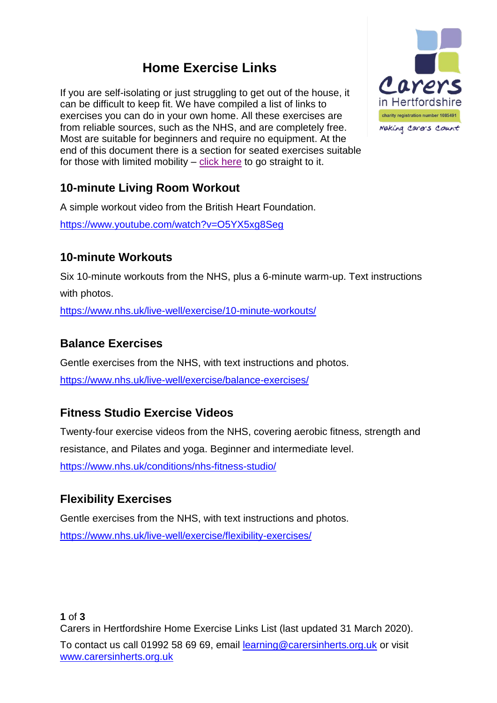## **Home Exercise Links**

If you are self-isolating or just struggling to get out of the house, it can be difficult to keep fit. We have compiled a list of links to exercises you can do in your own home. All these exercises are from reliable sources, such as the NHS, and are completely free. Most are suitable for beginners and require no equipment. At the end of this document there is a section for seated exercises suitable for those with limited mobility – [click here](#page-1-0) to go straight to it.



## **10-minute Living Room Workout**

A simple workout video from the British Heart Foundation.

<https://www.youtube.com/watch?v=O5YX5xg8Seg>

## **10-minute Workouts**

Six 10-minute workouts from the NHS, plus a 6-minute warm-up. Text instructions with photos.

<https://www.nhs.uk/live-well/exercise/10-minute-workouts/>

## **Balance Exercises**

Gentle exercises from the NHS, with text instructions and photos. <https://www.nhs.uk/live-well/exercise/balance-exercises/>

## **Fitness Studio Exercise Videos**

Twenty-four exercise videos from the NHS, covering aerobic fitness, strength and resistance, and Pilates and yoga. Beginner and intermediate level. <https://www.nhs.uk/conditions/nhs-fitness-studio/>

## **Flexibility Exercises**

Gentle exercises from the NHS, with text instructions and photos. <https://www.nhs.uk/live-well/exercise/flexibility-exercises/>

**1** of **3** Carers in Hertfordshire Home Exercise Links List (last updated 31 March 2020).

To contact us call 01992 58 69 69, email [learning@carersinherts.org.uk](mailto:learning@carersinherts.org.uk) or visit [www.carersinherts.org.uk](http://www.carersinherts.org.uk/events)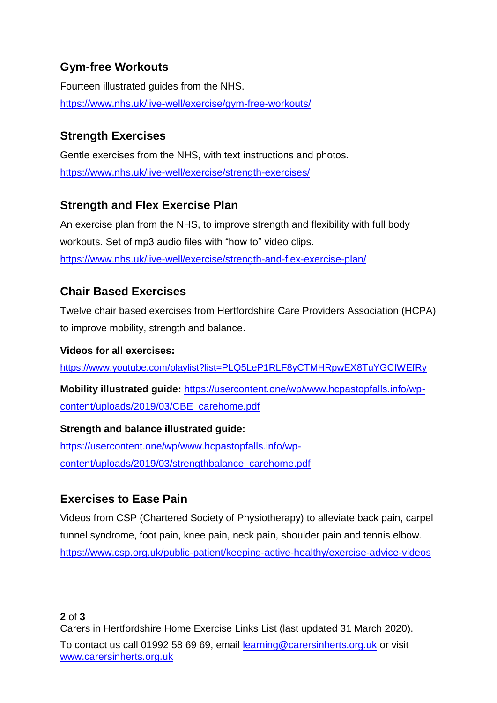## **Gym-free Workouts**

Fourteen illustrated guides from the NHS. <https://www.nhs.uk/live-well/exercise/gym-free-workouts/>

## **Strength Exercises**

Gentle exercises from the NHS, with text instructions and photos. <https://www.nhs.uk/live-well/exercise/strength-exercises/>

## **Strength and Flex Exercise Plan**

An exercise plan from the NHS, to improve strength and flexibility with full body workouts. Set of mp3 audio files with "how to" video clips. <https://www.nhs.uk/live-well/exercise/strength-and-flex-exercise-plan/>

## **Chair Based Exercises**

Twelve chair based exercises from Hertfordshire Care Providers Association (HCPA) to improve mobility, strength and balance.

#### **Videos for all exercises:**

<https://www.youtube.com/playlist?list=PLQ5LeP1RLF8yCTMHRpwEX8TuYGCIWEfRy>

**Mobility illustrated guide:** [https://usercontent.one/wp/www.hcpastopfalls.info/wp](https://usercontent.one/wp/www.hcpastopfalls.info/wp-content/uploads/2019/03/CBE_carehome.pdf)[content/uploads/2019/03/CBE\\_carehome.pdf](https://usercontent.one/wp/www.hcpastopfalls.info/wp-content/uploads/2019/03/CBE_carehome.pdf)

## **Strength and balance illustrated guide:** [https://usercontent.one/wp/www.hcpastopfalls.info/wp](https://usercontent.one/wp/www.hcpastopfalls.info/wp-content/uploads/2019/03/strengthbalance_carehome.pdf)[content/uploads/2019/03/strengthbalance\\_carehome.pdf](https://usercontent.one/wp/www.hcpastopfalls.info/wp-content/uploads/2019/03/strengthbalance_carehome.pdf)

## **Exercises to Ease Pain**

Videos from CSP (Chartered Society of Physiotherapy) to alleviate back pain, carpel tunnel syndrome, foot pain, knee pain, neck pain, shoulder pain and tennis elbow. <https://www.csp.org.uk/public-patient/keeping-active-healthy/exercise-advice-videos>

<span id="page-1-0"></span>To contact us call 01992 58 69 69, email [learning@carersinherts.org.uk](mailto:learning@carersinherts.org.uk) or visit [www.carersinherts.org.uk](http://www.carersinherts.org.uk/events)